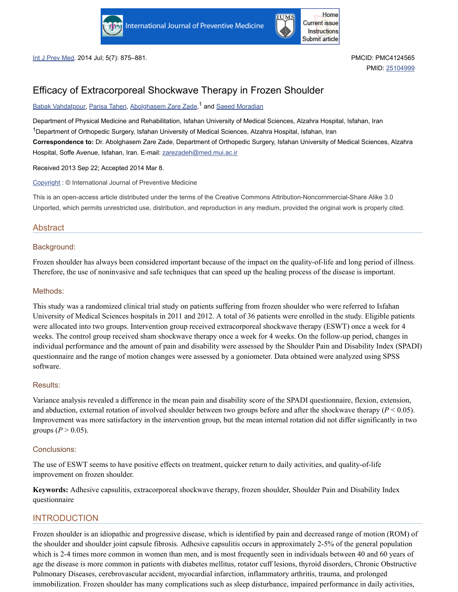



Int J Prev Med. 2014 Jul; 5(7): 875–881. PMCID: PMC4124565

PMID: [25104999](https://www.ncbi.nlm.nih.gov/pubmed/25104999)

# Efficacy of Extracorporeal Shockwave Therapy in Frozen Shoulder

Babak [Vahdatpour](https://www.ncbi.nlm.nih.gov/pubmed/?term=Vahdatpour%20B%5BAuthor%5D&cauthor=true&cauthor_uid=25104999), [Parisa](https://www.ncbi.nlm.nih.gov/pubmed/?term=Taheri%20P%5BAuthor%5D&cauthor=true&cauthor_uid=25104999) Taheri, [Abolghasem](https://www.ncbi.nlm.nih.gov/pubmed/?term=Zade%20AZ%5BAuthor%5D&cauthor=true&cauthor_uid=25104999) Zare Zade,<sup>1</sup> and Saeed [Moradian](https://www.ncbi.nlm.nih.gov/pubmed/?term=Moradian%20S%5BAuthor%5D&cauthor=true&cauthor_uid=25104999)

Department of Physical Medicine and Rehabilitation, Isfahan University of Medical Sciences, Alzahra Hospital, Isfahan, Iran  $1$ Department of Orthopedic Surgery, Isfahan University of Medical Sciences, Alzahra Hospital, Isfahan, Iran **Correspondence to:** Dr. Abolghasem Zare Zade, Department of Orthopedic Surgery, Isfahan University of Medical Sciences, Alzahra Hospital, Soffe Avenue, Isfahan, Iran. E-mail: [zarezadeh@med.mui.ac.ir](mailto:dev@null)

Received 2013 Sep 22; Accepted 2014 Mar 8.

[Copyright](https://www.ncbi.nlm.nih.gov/pmc/about/copyright/) : © International Journal of Preventive Medicine

This is an open-access article distributed under the terms of the Creative Commons Attribution-Noncommercial-Share Alike 3.0 Unported, which permits unrestricted use, distribution, and reproduction in any medium, provided the original work is properly cited.

## Abstract

### Background:

Frozen shoulder has always been considered important because of the impact on the quality-of-life and long period of illness. Therefore, the use of noninvasive and safe techniques that can speed up the healing process of the disease is important.

### Methods:

This study was a randomized clinical trial study on patients suffering from frozen shoulder who were referred to Isfahan University of Medical Sciences hospitals in 2011 and 2012. A total of 36 patients were enrolled in the study. Eligible patients were allocated into two groups. Intervention group received extracorporeal shockwave therapy (ESWT) once a week for 4 weeks. The control group received sham shockwave therapy once a week for 4 weeks. On the follow-up period, changes in individual performance and the amount of pain and disability were assessed by the Shoulder Pain and Disability Index (SPADI) questionnaire and the range of motion changes were assessed by a goniometer. Data obtained were analyzed using SPSS software.

### Results:

Variance analysis revealed a difference in the mean pain and disability score of the SPADI questionnaire, flexion, extension, and abduction, external rotation of involved shoulder between two groups before and after the shockwave therapy  $(P < 0.05)$ . Improvement was more satisfactory in the intervention group, but the mean internal rotation did not differ significantly in two groups ( $P > 0.05$ ).

### Conclusions:

The use of ESWT seems to have positive effects on treatment, quicker return to daily activities, and quality-of-life improvement on frozen shoulder.

**Keywords:** Adhesive capsulitis, extracorporeal shockwave therapy, frozen shoulder, Shoulder Pain and Disability Index questionnaire

# **INTRODUCTION**

Frozen shoulder is an idiopathic and progressive disease, which is identified by pain and decreased range of motion (ROM) of the shoulder and shoulder joint capsule fibrosis. Adhesive capsulitis occurs in approximately 2-5% of the general population which is 2-4 times more common in women than men, and is most frequently seen in individuals between 40 and 60 years of age the disease is more common in patients with diabetes mellitus, rotator cuff lesions, thyroid disorders, Chronic Obstructive Pulmonary Diseases, cerebrovascular accident, myocardial infarction, inflammatory arthritis, trauma, and prolonged immobilization. Frozen shoulder has many complications such as sleep disturbance, impaired performance in daily activities,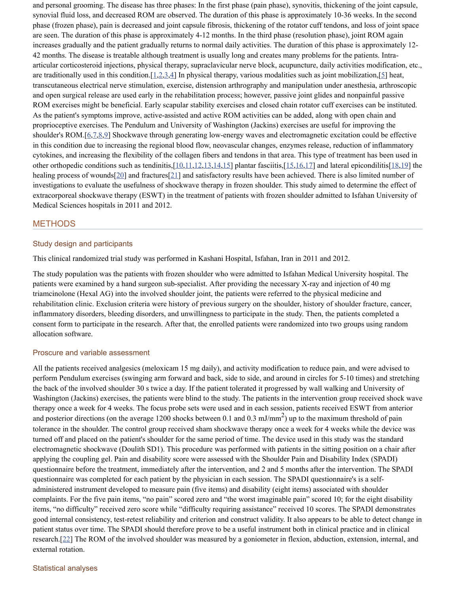and personal grooming. The disease has three phases: In the first phase (pain phase), synovitis, thickening of the joint capsule, synovial fluid loss, and decreased ROM are observed. The duration of this phase is approximately 10-36 weeks. In the second phase (frozen phase), pain is decreased and joint capsule fibrosis, thickening of the rotator cuff tendons, and loss of joint space are seen. The duration of this phase is approximately 4-12 months. In the third phase (resolution phase), joint ROM again increases gradually and the patient gradually returns to normal daily activities. The duration of this phase is approximately 12- 42 months. The disease is treatable although treatment is usually long and creates many problems for the patients. Intraarticular corticosteroid injections, physical therapy, supraclavicular nerve block, acupuncture, daily activities modification, etc., are traditionally used in this condition. [[1](#page-8-0)[,2](#page-8-1),[3,](#page-8-2)[4\]](#page-8-3) In physical therapy, various modalities such as joint mobilization, [\[5](#page-8-4)] heat, transcutaneous electrical nerve stimulation, exercise, distension arthrography and manipulation under anesthesia, arthroscopic and open surgical release are used early in the rehabilitation process; however, passive joint glides and nonpainful passive ROM exercises might be beneficial. Early scapular stability exercises and closed chain rotator cuff exercises can be instituted. As the patient's symptoms improve, active-assisted and active ROM activities can be added, along with open chain and proprioceptive exercises. The Pendulum and University of Washington (Jackins) exercises are useful for improving the shoulder's ROM.[[6,](#page-8-5)[7](#page-8-6),[8,](#page-8-7)[9\]](#page-8-8) Shockwave through generating low-energy waves and electromagnetic excitation could be effective in this condition due to increasing the regional blood flow, neovascular changes, enzymes release, reduction of inflammatory cytokines, and increasing the flexibility of the collagen fibers and tendons in that area. This type of treatment has been used in other orthopedic conditions such as tendinitis,[[10](#page-9-0)[,11](#page-9-1)[,12](#page-9-2)[,13](#page-9-3)[,14](#page-9-4),[15](#page-9-5)] plantar fasciitis,[\[15](#page-9-5)[,16](#page-9-6)[,17](#page-9-7)] and lateral epicondilitis[\[18,](#page-9-8)[19](#page-9-9)] the healing process of wounds[[20\]](#page-9-10) and fractures[\[21](#page-9-11)] and satisfactory results have been achieved. There is also limited number of investigations to evaluate the usefulness of shockwave therapy in frozen shoulder. This study aimed to determine the effect of extracorporeal shockwave therapy (ESWT) in the treatment of patients with frozen shoulder admitted to Isfahan University of Medical Sciences hospitals in 2011 and 2012.

# METHODS

### Study design and participants

This clinical randomized trial study was performed in Kashani Hospital, Isfahan, Iran in 2011 and 2012.

The study population was the patients with frozen shoulder who were admitted to Isfahan Medical University hospital. The patients were examined by a hand surgeon sub-specialist. After providing the necessary X-ray and injection of 40 mg triamcinolone (Hexal AG) into the involved shoulder joint, the patients were referred to the physical medicine and rehabilitation clinic. Exclusion criteria were history of previous surgery on the shoulder, history of shoulder fracture, cancer, inflammatory disorders, bleeding disorders, and unwillingness to participate in the study. Then, the patients completed a consent form to participate in the research. After that, the enrolled patients were randomized into two groups using random allocation software.

#### Proscure and variable assessment

All the patients received analgesics (meloxicam 15 mg daily), and activity modification to reduce pain, and were advised to perform Pendulum exercises (swinging arm forward and back, side to side, and around in circles for 5-10 times) and stretching the back of the involved shoulder 30 s twice a day. If the patient tolerated it progressed by wall walking and University of Washington (Jackins) exercises, the patients were blind to the study. The patients in the intervention group received shock wave therapy once a week for 4 weeks. The focus probe sets were used and in each session, patients received ESWT from anterior and posterior directions (on the average 1200 shocks between 0.1 and 0.3 mJ/mm<sup>2</sup>) up to the maximum threshold of pain tolerance in the shoulder. The control group received sham shockwave therapy once a week for 4 weeks while the device was turned off and placed on the patient's shoulder for the same period of time. The device used in this study was the standard electromagnetic shockwave (Doulith SD1). This procedure was performed with patients in the sitting position on a chair after applying the coupling gel. Pain and disability score were assessed with the Shoulder Pain and Disability Index (SPADI) questionnaire before the treatment, immediately after the intervention, and 2 and 5 months after the intervention. The SPADI questionnaire was completed for each patient by the physician in each session. The SPADI questionnaire's is a selfadministered instrument developed to measure pain (five items) and disability (eight items) associated with shoulder complaints. For the five pain items, "no pain" scored zero and "the worst imaginable pain" scored 10; for the eight disability items, "no difficulty" received zero score while "difficulty requiring assistance" received 10 scores. The SPADI demonstrates good internal consistency, test-retest reliability and criterion and construct validity. It also appears to be able to detect change in patient status over time. The SPADI should therefore prove to be a useful instrument both in clinical practice and in clinical research.[[22\]](#page-9-12) The ROM of the involved shoulder was measured by a goniometer in flexion, abduction, extension, internal, and external rotation.

#### Statistical analyses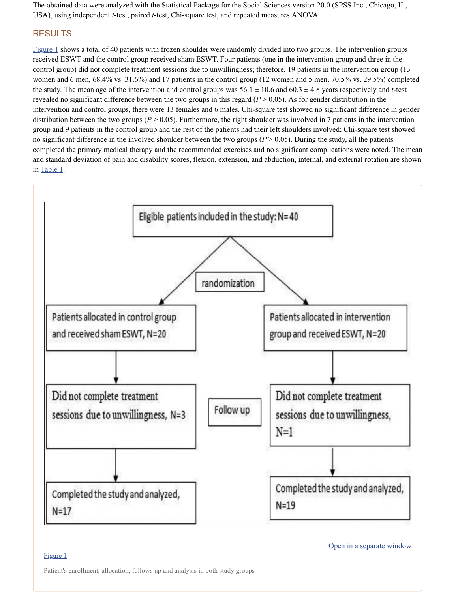The obtained data were analyzed with the Statistical Package for the Social Sciences version 20.0 (SPSS Inc., Chicago, IL, USA), using independent *t*-test, paired *t*-test, Chi-square test, and repeated measures ANOVA.

# RESULTS

[Figure](https://www.ncbi.nlm.nih.gov/pmc/articles/PMC4124565/figure/F1/) 1 shows a total of 40 patients with frozen shoulder were randomly divided into two groups. The intervention groups received ESWT and the control group received sham ESWT. Four patients (one in the intervention group and three in the control group) did not complete treatment sessions due to unwillingness; therefore, 19 patients in the intervention group (13 women and 6 men, 68.4% vs. 31.6%) and 17 patients in the control group (12 women and 5 men, 70.5% vs. 29.5%) completed the study. The mean age of the intervention and control groups was  $56.1 \pm 10.6$  and  $60.3 \pm 4.8$  years respectively and *t*-test revealed no significant difference between the two groups in this regard  $(P > 0.05)$ . As for gender distribution in the intervention and control groups, there were 13 females and 6 males. Chi-square test showed no significant difference in gender distribution between the two groups ( $P > 0.05$ ). Furthermore, the right shoulder was involved in 7 patients in the intervention group and 9 patients in the control group and the rest of the patients had their left shoulders involved; Chi-square test showed no significant difference in the involved shoulder between the two groups  $(P > 0.05)$ . During the study, all the patients completed the primary medical therapy and the recommended exercises and no significant complications were noted. The mean and standard deviation of pain and disability scores, flexion, extension, and abduction, internal, and external rotation are shown in [Table](https://www.ncbi.nlm.nih.gov/pmc/articles/PMC4124565/table/T1/) 1.



### [Figure](https://www.ncbi.nlm.nih.gov/pmc/articles/PMC4124565/figure/F1/) 1

Open in a [separate](https://www.ncbi.nlm.nih.gov/pmc/articles/PMC4124565/figure/F1/?report=objectonly) window

Patient's enrollment, allocation, follows up and analysis in both study groups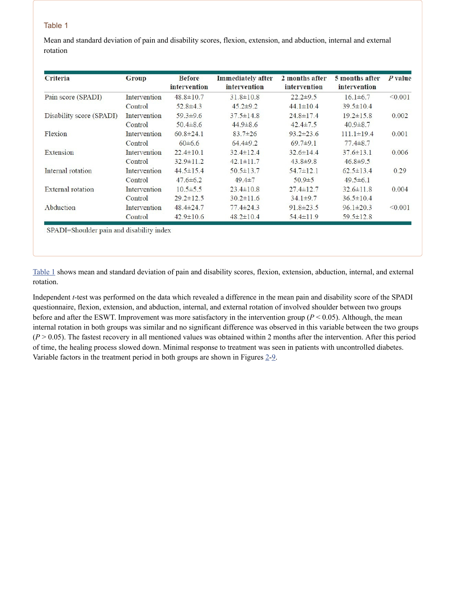# Table 1

Mean and standard deviation of pain and disability scores, flexion, extension, and abduction, internal and external rotation

| <b>Criteria</b>          | <b>Group</b> | <b>Before</b><br>intervention | <b>Immediately after</b><br>intervention | 2 months after<br>intervention | 5 months after<br>intervention | P value |
|--------------------------|--------------|-------------------------------|------------------------------------------|--------------------------------|--------------------------------|---------|
| Pain score (SPADI)       | Intervention | $48.8 \pm 10.7$               | $31.8 \pm 10.8$                          | $22.2 \pm 9.5$                 | $16.1\pm 6.7$                  | < 0.001 |
|                          | Control      | $52.8 \pm 4.3$                | $45.2 \pm 9.2$                           | $44.1 \pm 10.4$                | $39.5 \pm 10.4$                |         |
| Disability score (SPADI) | Intervention | $59.3 \pm 9.6$                | $37.5 \pm 14.8$                          | $24.8 \pm 17.4$                | $19.2 \pm 15.8$                | 0.002   |
|                          | Control      | $50.4 \pm 8.6$                | $44.9 \pm 8.6$                           | $42.4 \pm 7.5$                 | $40.9 \pm 8.7$                 |         |
| Flexion                  | Intervention | $60.8 \pm 24.1$               | $83.7 \pm 26$                            | $93.2 \pm 23.6$                | $111.1 \pm 19.4$               | 0.001   |
|                          | Control      | $60\pm 6.6$                   | $64.4\pm9.2$                             | $69.7 \pm 9.1$                 | $77.4 \pm 8.7$                 |         |
| Extension                | Intervention | $22.4 \pm 10.1$               | $32.4 \pm 12.4$                          | $32.6 \pm 14.4$                | $37.6 \pm 13.1$                | 0.006   |
|                          | Control      | $32.9 \pm 11.2$               | $42.1 \pm 11.7$                          | $43.8 \pm 9.8$                 | $46.8 \pm 9.5$                 |         |
| Internal rotation        | Intervention | $44.5 \pm 15.4$               | $50.5 \pm 13.7$                          | $54.7 \pm 12.1$                | $62.5 \pm 13.4$                | 0.29    |
|                          | Control      | $47.6 \pm 6.2$                | $49.4 \pm 7$                             | $50.9 \pm 5$                   | $49.5 \pm 6.1$                 |         |
| External rotation        | Intervention | $10.5 \pm 5.5$                | $23.4 \pm 10.8$                          | $27.4 \pm 12.7$                | $32.6 \pm 11.8$                | 0.004   |
|                          | Control      | $29.2 \pm 12.5$               | $30.2 \pm 11.6$                          | $34.1 \pm 9.7$                 | $36.5 \pm 10.4$                |         |
| Abduction                | Intervention | $48.4 \pm 24.7$               | $77.4 \pm 24.3$                          | $91.8 \pm 23.5$                | $96.1 \pm 20.3$                | < 0.001 |
|                          | Control      | $42.9 \pm 10.6$               | $48.2 \pm 10.4$                          | $54.4 \pm 11.9$                | $59.5 \pm 12.8$                |         |

SPADI=Shoulder pain and disability index

[Table](https://www.ncbi.nlm.nih.gov/pmc/articles/PMC4124565/table/T1/) 1 shows mean and standard deviation of pain and disability scores, flexion, extension, abduction, internal, and external rotation.

Independent *t*-test was performed on the data which revealed a difference in the mean pain and disability score of the SPADI questionnaire, flexion, extension, and abduction, internal, and external rotation of involved shoulder between two groups before and after the ESWT. Improvement was more satisfactory in the intervention group ( $P < 0.05$ ). Although, the mean internal rotation in both groups was similar and no significant difference was observed in this variable between the two groups  $(P > 0.05)$ . The fastest recovery in all mentioned values was obtained within 2 months after the intervention. After this period of time, the healing process slowed down. Minimal response to treatment was seen in patients with uncontrolled diabetes. Variable factors in the treatment period in both groups are shown in Figures [2](https://www.ncbi.nlm.nih.gov/pmc/articles/PMC4124565/figure/F2/)[-9](https://www.ncbi.nlm.nih.gov/pmc/articles/PMC4124565/figure/F9/).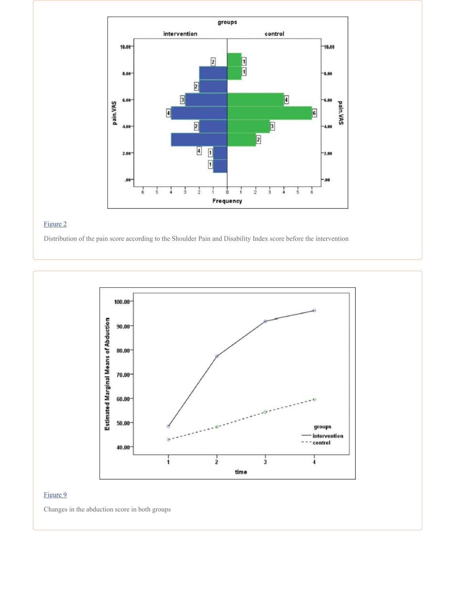

Distribution of the pain score according to the Shoulder Pain and Disability Index score before the intervention



# [Figure](https://www.ncbi.nlm.nih.gov/pmc/articles/PMC4124565/figure/F9/) 9

Changes in the abduction score in both groups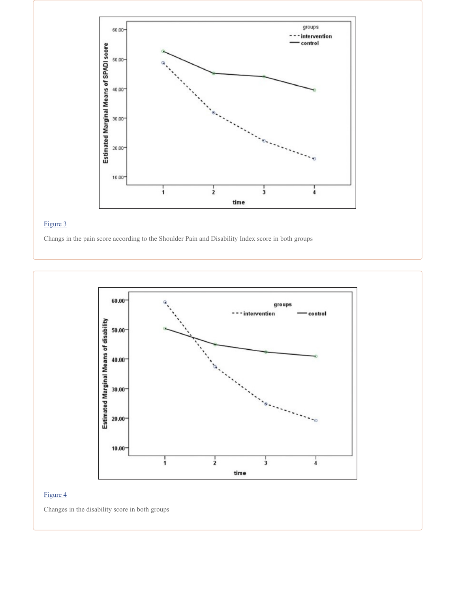

Changs in the pain score according to the Shoulder Pain and Disability Index score in both groups



## [Figure](https://www.ncbi.nlm.nih.gov/pmc/articles/PMC4124565/figure/F4/) 4

Changes in the disability score in both groups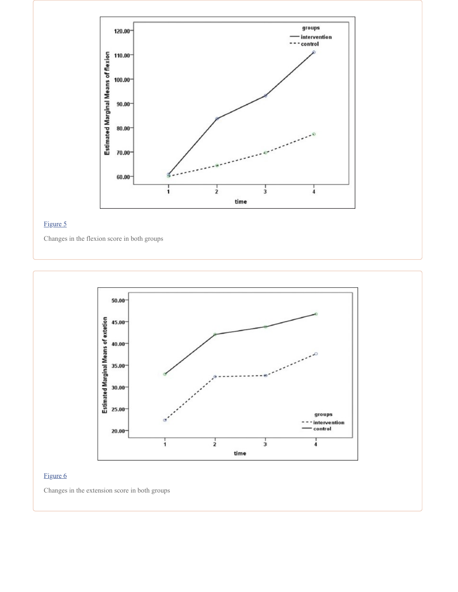

Changes in the flexion score in both groups



## [Figure](https://www.ncbi.nlm.nih.gov/pmc/articles/PMC4124565/figure/F6/) 6

Changes in the extension score in both groups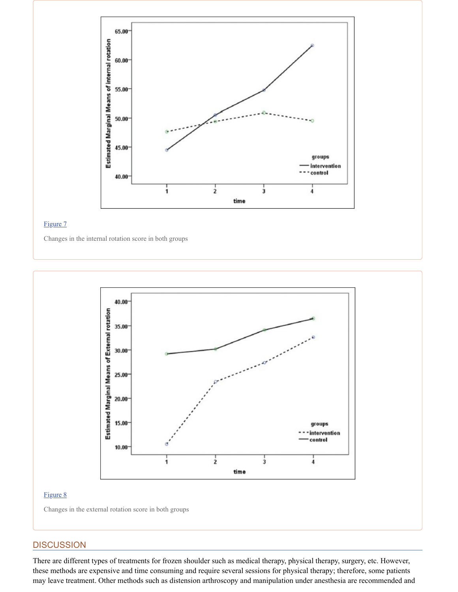

Changes in the internal rotation score in both groups



### [Figure](https://www.ncbi.nlm.nih.gov/pmc/articles/PMC4124565/figure/F8/) 8

Changes in the external rotation score in both groups

# **DISCUSSION**

There are different types of treatments for frozen shoulder such as medical therapy, physical therapy, surgery, etc. However, these methods are expensive and time consuming and require several sessions for physical therapy; therefore, some patients may leave treatment. Other methods such as distension arthroscopy and manipulation under anesthesia are recommended and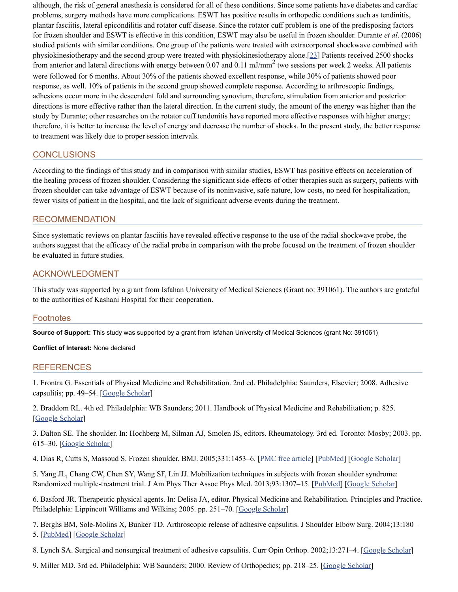although, the risk of general anesthesia is considered for all of these conditions. Since some patients have diabetes and cardiac problems, surgery methods have more complications. ESWT has positive results in orthopedic conditions such as tendinitis, plantar fasciitis, lateral epicondilitis and rotator cuff disease. Since the rotator cuff problem is one of the predisposing factors for frozen shoulder and ESWT is effective in this condition, ESWT may also be useful in frozen shoulder. Durante *et al*. (2006) studied patients with similar conditions. One group of the patients were treated with extracorporeal shockwave combined with physiokinesiotherapy and the second group were treated with physiokinesiotherapy alone.[\[23\]](#page-9-13) Patients received 2500 shocks from anterior and lateral directions with energy between  $0.07$  and  $0.11$  mJ/mm<sup>2</sup> two sessions per week 2 weeks. All patients were followed for 6 months. About 30% of the patients showed excellent response, while 30% of patients showed poor response, as well. 10% of patients in the second group showed complete response. According to arthroscopic findings, adhesions occur more in the descendent fold and surrounding synovium, therefore, stimulation from anterior and posterior directions is more effective rather than the lateral direction. In the current study, the amount of the energy was higher than the study by Durante; other researches on the rotator cuff tendonitis have reported more effective responses with higher energy; therefore, it is better to increase the level of energy and decrease the number of shocks. In the present study, the better response to treatment was likely due to proper session intervals.

# **CONCLUSIONS**

According to the findings of this study and in comparison with similar studies, ESWT has positive effects on acceleration of the healing process of frozen shoulder. Considering the significant side-effects of other therapies such as surgery, patients with frozen shoulder can take advantage of ESWT because of its noninvasive, safe nature, low costs, no need for hospitalization, fewer visits of patient in the hospital, and the lack of significant adverse events during the treatment.

# RECOMMENDATION

Since systematic reviews on plantar fasciitis have revealed effective response to the use of the radial shockwave probe, the authors suggest that the efficacy of the radial probe in comparison with the probe focused on the treatment of frozen shoulder be evaluated in future studies.

# ACKNOWLEDGMENT

This study was supported by a grant from Isfahan University of Medical Sciences (Grant no: 391061). The authors are grateful to the authorities of Kashani Hospital for their cooperation.

# **Footnotes**

**Source of Support:** This study was supported by a grant from Isfahan University of Medical Sciences (grant No: 391061)

### **Conflict of Interest:** None declared

### **REFERENCES**

<span id="page-8-0"></span>1. Frontra G. Essentials of Physical Medicine and Rehabilitation. 2nd ed. Philadelphia: Saunders, Elsevier; 2008. Adhesive capsulitis; pp. 49–54. [Google [Scholar\]](https://scholar.google.com/scholar_lookup?title=Essentials+of+Physical+Medicine+and+Rehabilitation&author=G+Frontra&publication_year=2008&)

<span id="page-8-1"></span>2. Braddom RL. 4th ed. Philadelphia: WB Saunders; 2011. Handbook of Physical Medicine and Rehabilitation; p. 825. [Google [Scholar\]](https://scholar.google.com/scholar?q=Braddom+RL+Handbook+of+Physical+Medicine+and+Rehabilitation+2011+4th+ed+Philadelphia+WB+Saunders+825+)

<span id="page-8-2"></span>3. Dalton SE. The shoulder. In: Hochberg M, Silman AJ, Smolen JS, editors. Rheumatology. 3rd ed. Toronto: Mosby; 2003. pp. 615–30. [Google [Scholar\]](https://scholar.google.com/scholar_lookup?title=Rheumatology&author=SE+Dalton&publication_year=2003&)

<span id="page-8-3"></span>4. Dias R, Cutts S, Massoud S. Frozen shoulder. BMJ. 2005;331:1453-6. [PMC free [article\]](https://www.ncbi.nlm.nih.gov/pmc/articles/PMC1315655/) [\[PubMed\]](https://www.ncbi.nlm.nih.gov/pubmed/16356983) [Google [Scholar\]](https://scholar.google.com/scholar_lookup?journal=BMJ&title=Frozen+shoulder&author=R+Dias&author=S+Cutts&author=S+Massoud&volume=331&publication_year=2005&pages=1453-6&pmid=16356983&)

<span id="page-8-4"></span>5. Yang JL, Chang CW, Chen SY, Wang SF, Lin JJ. Mobilization techniques in subjects with frozen shoulder syndrome: Randomized multiple-treatment trial. J Am Phys Ther Assoc Phys Med. 2013;93:1307-15. [\[PubMed\]](https://www.ncbi.nlm.nih.gov/pubmed/17684085) [Google [Scholar\]](https://scholar.google.com/scholar_lookup?journal=J+Am+Phys+Ther+Assoc+Phys+Med&title=Mobilization+techniques+in+subjects+with+frozen+shoulder+syndrome:+Randomized+multiple-treatment+trial&author=JL+Yang&author=CW+Chang&author=SY+Chen&author=SF+Wang&author=JJ+Lin&volume=93&publication_year=2013&pages=1307-15&)

<span id="page-8-5"></span>6. Basford JR. Therapeutic physical agents. In: Delisa JA, editor. Physical Medicine and Rehabilitation. Principles and Practice. Philadelphia: Lippincott Williams and Wilkins; 2005. pp. 251-70. [Google [Scholar](https://scholar.google.com/scholar_lookup?title=Physical+Medicine+and+Rehabilitation.+Principles+and+Practice&author=JR+Basford&publication_year=2005&)]

<span id="page-8-6"></span>7. Berghs BM, Sole-Molins X, Bunker TD. Arthroscopic release of adhesive capsulitis. J Shoulder Elbow Surg. 2004;13:180– 5. [\[PubMed\]](https://www.ncbi.nlm.nih.gov/pubmed/14997096) [Google [Scholar\]](https://scholar.google.com/scholar_lookup?journal=J+Shoulder+Elbow+Surg&title=Arthroscopic+release+of+adhesive+capsulitis&author=BM+Berghs&author=X+Sole-Molins&author=TD+Bunker&volume=13&publication_year=2004&pages=180-5&pmid=14997096&)

<span id="page-8-7"></span>8. Lynch SA. Surgical and nonsurgical treatment of adhesive capsulitis. Curr Opin Orthop. 2002;13:271–4. [Google [Scholar\]](https://scholar.google.com/scholar_lookup?journal=Curr+Opin+Orthop&title=Surgical+and+nonsurgical+treatment+of+adhesive+capsulitis&author=SA+Lynch&volume=13&publication_year=2002&pages=271-4&)

<span id="page-8-8"></span>9. Miller MD. 3rd ed. Philadelphia: WB Saunders; 2000. Review of Orthopedics; pp. 218–25. [Google [Scholar\]](https://scholar.google.com/scholar?q=Miller+MD+Review+of+Orthopedics+2000+3rd+ed+Philadelphia+WB+Saunders+218+25+)